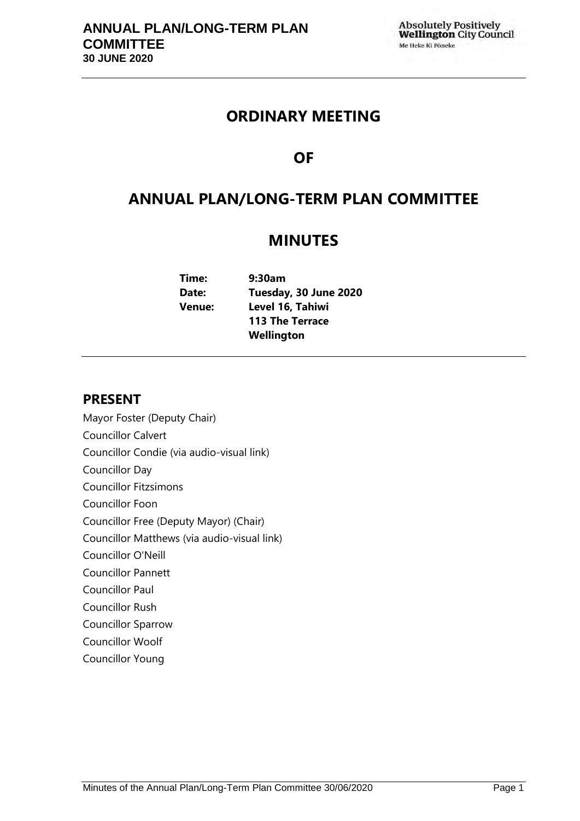# **ORDINARY MEETING**

# **OF**

# **ANNUAL PLAN/LONG-TERM PLAN COMMITTEE**

# **MINUTES**

**Time: 9:30am Date: Tuesday, 30 June 2020 Venue: Level 16, Tahiwi 113 The Terrace Wellington** 

# **PRESENT**

- Mayor Foster (Deputy Chair)
- Councillor Calvert
- Councillor Condie (via audio-visual link)
- Councillor Day
- Councillor Fitzsimons
- Councillor Foon
- Councillor Free (Deputy Mayor) (Chair)
- Councillor Matthews (via audio-visual link)
- Councillor O'Neill
- Councillor Pannett
- Councillor Paul
- Councillor Rush
- Councillor Sparrow
- Councillor Woolf
- Councillor Young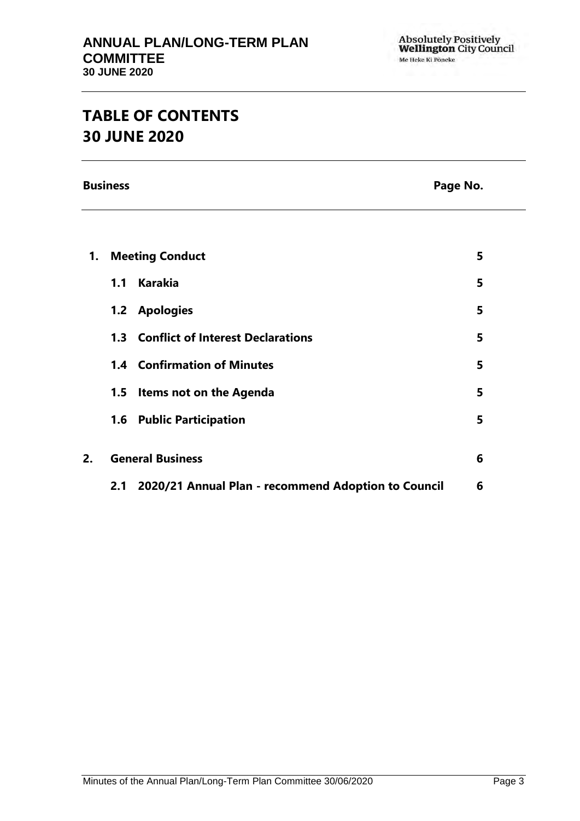# **TABLE OF CONTENTS 30 JUNE 2020**

**Business** Page No.

| 1. | <b>Meeting Conduct</b>                                     | 5 |
|----|------------------------------------------------------------|---|
|    | <b>Karakia</b><br>1.1                                      | 5 |
|    | <b>Apologies</b><br>1.2                                    | 5 |
|    | <b>Conflict of Interest Declarations</b><br>1.3            | 5 |
|    | <b>1.4 Confirmation of Minutes</b>                         | 5 |
|    | Items not on the Agenda<br>1.5                             | 5 |
|    | 1.6 Public Participation                                   | 5 |
| 2. | <b>General Business</b>                                    | 6 |
|    |                                                            |   |
|    | 2020/21 Annual Plan - recommend Adoption to Council<br>2.1 | 6 |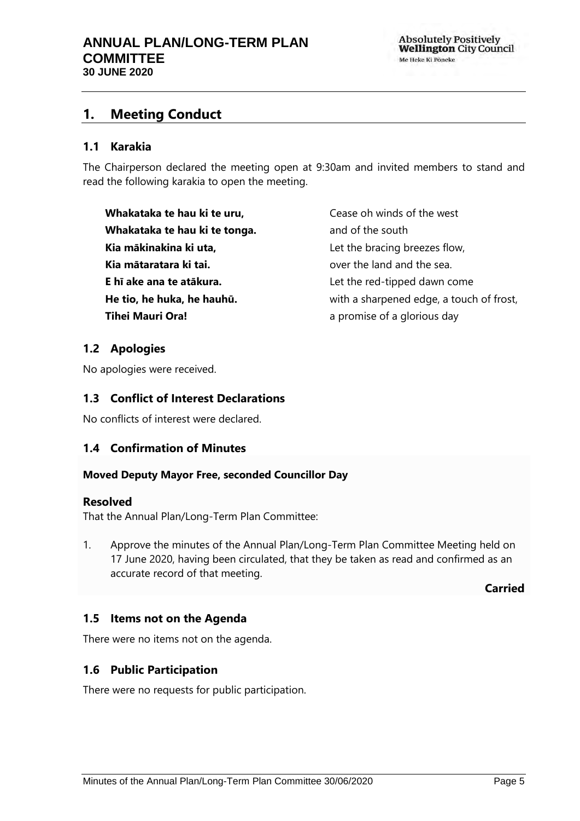# <span id="page-4-0"></span>**1. Meeting Conduct**

## <span id="page-4-1"></span>**1.1 Karakia**

The Chairperson declared the meeting open at 9:30am and invited members to stand and read the following karakia to open the meeting.

**Whakataka te hau ki te uru, Whakataka te hau ki te tonga. Kia mākinakina ki uta, Kia mātaratara ki tai. E hī ake ana te atākura. He tio, he huka, he hauhū. Tihei Mauri Ora!**

Cease oh winds of the west and of the south Let the bracing breezes flow, over the land and the sea. Let the red-tipped dawn come with a sharpened edge, a touch of frost, a promise of a glorious day

# <span id="page-4-2"></span>**1.2 Apologies**

No apologies were received.

# <span id="page-4-3"></span>**1.3 Conflict of Interest Declarations**

No conflicts of interest were declared.

# <span id="page-4-4"></span>**1.4 Confirmation of Minutes**

#### **Moved Deputy Mayor Free, seconded Councillor Day**

#### **Resolved**

That the Annual Plan/Long-Term Plan Committee:

1. Approve the minutes of the Annual Plan/Long-Term Plan Committee Meeting held on 17 June 2020, having been circulated, that they be taken as read and confirmed as an accurate record of that meeting.

**Carried**

# <span id="page-4-5"></span>**1.5 Items not on the Agenda**

There were no items not on the agenda.

# **1.6 Public Participation**

There were no requests for public participation.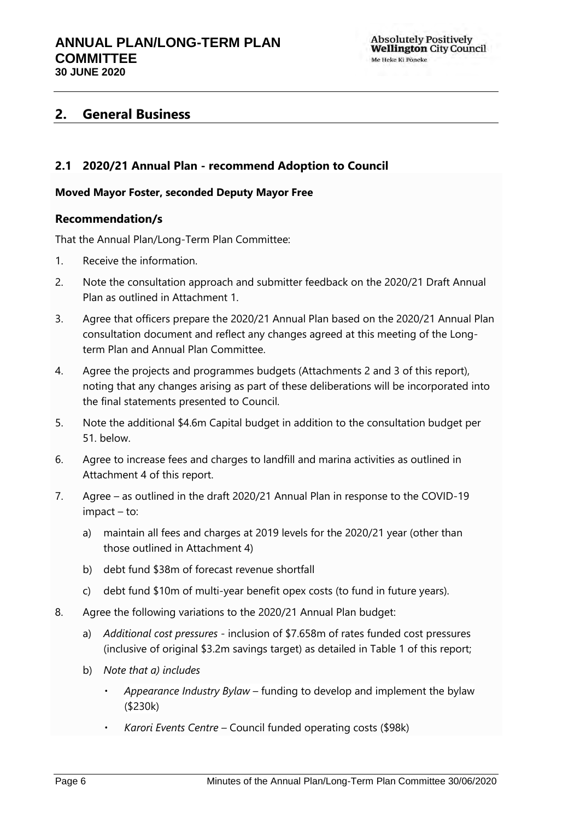# <span id="page-5-0"></span>**2. General Business**

# <span id="page-5-1"></span>**2.1 2020/21 Annual Plan - recommend Adoption to Council**

### **Moved Mayor Foster, seconded Deputy Mayor Free**

### **Recommendation/s**

That the Annual Plan/Long-Term Plan Committee:

- 1. Receive the information.
- 2. Note the consultation approach and submitter feedback on the 2020/21 Draft Annual Plan as outlined in Attachment 1.
- 3. Agree that officers prepare the 2020/21 Annual Plan based on the 2020/21 Annual Plan consultation document and reflect any changes agreed at this meeting of the Longterm Plan and Annual Plan Committee.
- 4. Agree the projects and programmes budgets (Attachments 2 and 3 of this report), noting that any changes arising as part of these deliberations will be incorporated into the final statements presented to Council.
- 5. Note the additional \$4.6m Capital budget in addition to the consultation budget per 51. below.
- 6. Agree to increase fees and charges to landfill and marina activities as outlined in Attachment 4 of this report.
- 7. Agree as outlined in the draft 2020/21 Annual Plan in response to the COVID-19 impact – to:
	- a) maintain all fees and charges at 2019 levels for the 2020/21 year (other than those outlined in Attachment 4)
	- b) debt fund \$38m of forecast revenue shortfall
	- c) debt fund \$10m of multi-year benefit opex costs (to fund in future years).
- 8. Agree the following variations to the 2020/21 Annual Plan budget:
	- a) *Additional cost pressures -* inclusion of \$7.658m of rates funded cost pressures (inclusive of original \$3.2m savings target) as detailed in Table 1 of this report;
	- b) *Note that a) includes*
		- *Appearance Industry Bylaw* funding to develop and implement the bylaw (\$230k)
		- *Karori Events Centre* Council funded operating costs (\$98k)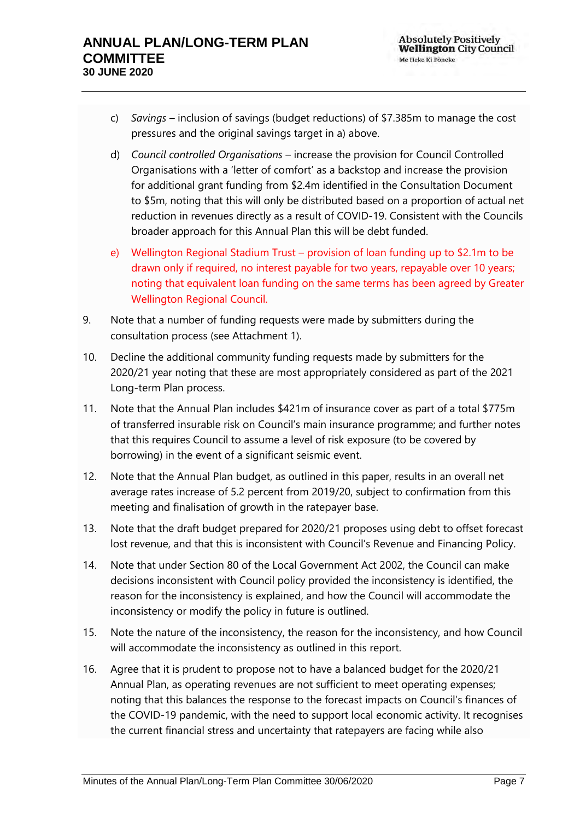- c) *Savings –* inclusion of savings (budget reductions) of \$7.385m to manage the cost pressures and the original savings target in a) above.
- d) *Council controlled Organisations* increase the provision for Council Controlled Organisations with a 'letter of comfort' as a backstop and increase the provision for additional grant funding from \$2.4m identified in the Consultation Document to \$5m, noting that this will only be distributed based on a proportion of actual net reduction in revenues directly as a result of COVID-19. Consistent with the Councils broader approach for this Annual Plan this will be debt funded.
- e) Wellington Regional Stadium Trust provision of loan funding up to \$2.1m to be drawn only if required, no interest payable for two years, repayable over 10 years; noting that equivalent loan funding on the same terms has been agreed by Greater Wellington Regional Council.
- 9. Note that a number of funding requests were made by submitters during the consultation process (see Attachment 1).
- 10. Decline the additional community funding requests made by submitters for the 2020/21 year noting that these are most appropriately considered as part of the 2021 Long-term Plan process.
- 11. Note that the Annual Plan includes \$421m of insurance cover as part of a total \$775m of transferred insurable risk on Council's main insurance programme; and further notes that this requires Council to assume a level of risk exposure (to be covered by borrowing) in the event of a significant seismic event.
- 12. Note that the Annual Plan budget, as outlined in this paper, results in an overall net average rates increase of 5.2 percent from 2019/20, subject to confirmation from this meeting and finalisation of growth in the ratepayer base.
- 13. Note that the draft budget prepared for 2020/21 proposes using debt to offset forecast lost revenue, and that this is inconsistent with Council's Revenue and Financing Policy.
- 14. Note that under Section 80 of the Local Government Act 2002, the Council can make decisions inconsistent with Council policy provided the inconsistency is identified, the reason for the inconsistency is explained, and how the Council will accommodate the inconsistency or modify the policy in future is outlined.
- 15. Note the nature of the inconsistency, the reason for the inconsistency, and how Council will accommodate the inconsistency as outlined in this report.
- 16. Agree that it is prudent to propose not to have a balanced budget for the 2020/21 Annual Plan, as operating revenues are not sufficient to meet operating expenses; noting that this balances the response to the forecast impacts on Council's finances of the COVID-19 pandemic, with the need to support local economic activity. It recognises the current financial stress and uncertainty that ratepayers are facing while also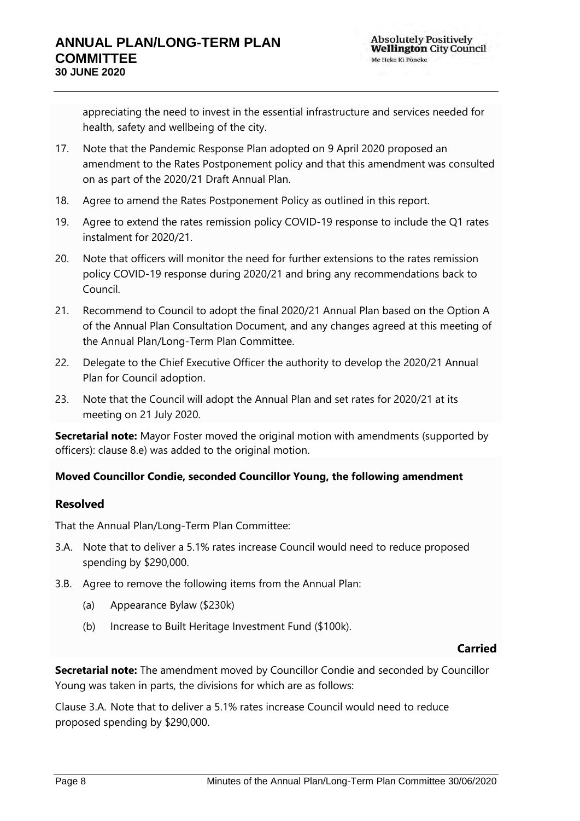appreciating the need to invest in the essential infrastructure and services needed for health, safety and wellbeing of the city.

- 17. Note that the Pandemic Response Plan adopted on 9 April 2020 proposed an amendment to the Rates Postponement policy and that this amendment was consulted on as part of the 2020/21 Draft Annual Plan.
- 18. Agree to amend the Rates Postponement Policy as outlined in this report.
- 19. Agree to extend the rates remission policy COVID-19 response to include the Q1 rates instalment for 2020/21.
- 20. Note that officers will monitor the need for further extensions to the rates remission policy COVID-19 response during 2020/21 and bring any recommendations back to Council.
- 21. Recommend to Council to adopt the final 2020/21 Annual Plan based on the Option A of the Annual Plan Consultation Document, and any changes agreed at this meeting of the Annual Plan/Long-Term Plan Committee.
- 22. Delegate to the Chief Executive Officer the authority to develop the 2020/21 Annual Plan for Council adoption.
- 23. Note that the Council will adopt the Annual Plan and set rates for 2020/21 at its meeting on 21 July 2020.

**Secretarial note:** Mayor Foster moved the original motion with amendments (supported by officers): clause 8.e) was added to the original motion.

# **Moved Councillor Condie, seconded Councillor Young, the following amendment**

# **Resolved**

That the Annual Plan/Long-Term Plan Committee:

- 3.A. Note that to deliver a 5.1% rates increase Council would need to reduce proposed spending by \$290,000.
- 3.B. Agree to remove the following items from the Annual Plan:
	- (a) Appearance Bylaw (\$230k)
	- (b) Increase to Built Heritage Investment Fund (\$100k).

# **Carried**

**Secretarial note:** The amendment moved by Councillor Condie and seconded by Councillor Young was taken in parts, the divisions for which are as follows:

Clause 3.A. Note that to deliver a 5.1% rates increase Council would need to reduce proposed spending by \$290,000.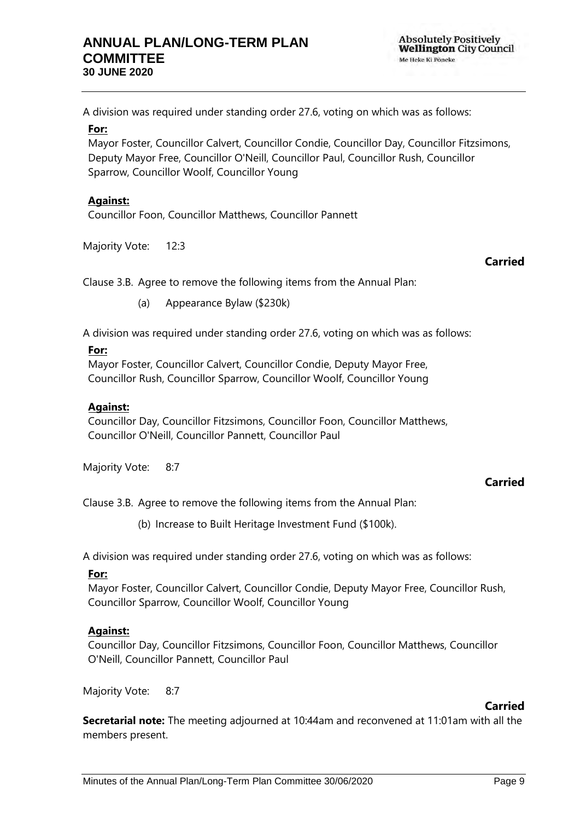A division was required under standing order 27.6, voting on which was as follows:

#### **For:**

Mayor Foster, Councillor Calvert, Councillor Condie, Councillor Day, Councillor Fitzsimons, Deputy Mayor Free, Councillor O'Neill, Councillor Paul, Councillor Rush, Councillor Sparrow, Councillor Woolf, Councillor Young

#### **Against:**

Councillor Foon, Councillor Matthews, Councillor Pannett

Majority Vote: 12:3

### **Carried**

Clause 3.B. Agree to remove the following items from the Annual Plan:

(a) Appearance Bylaw (\$230k)

A division was required under standing order 27.6, voting on which was as follows:

#### **For:**

Mayor Foster, Councillor Calvert, Councillor Condie, Deputy Mayor Free, Councillor Rush, Councillor Sparrow, Councillor Woolf, Councillor Young

#### **Against:**

Councillor Day, Councillor Fitzsimons, Councillor Foon, Councillor Matthews, Councillor O'Neill, Councillor Pannett, Councillor Paul

Majority Vote: 8:7

#### **Carried**

Clause 3.B. Agree to remove the following items from the Annual Plan:

(b) Increase to Built Heritage Investment Fund (\$100k).

A division was required under standing order 27.6, voting on which was as follows:

#### **For:**

Mayor Foster, Councillor Calvert, Councillor Condie, Deputy Mayor Free, Councillor Rush, Councillor Sparrow, Councillor Woolf, Councillor Young

#### **Against:**

Councillor Day, Councillor Fitzsimons, Councillor Foon, Councillor Matthews, Councillor O'Neill, Councillor Pannett, Councillor Paul

Majority Vote: 8:7

#### **Carried**

**Secretarial note:** The meeting adjourned at 10:44am and reconvened at 11:01am with all the members present.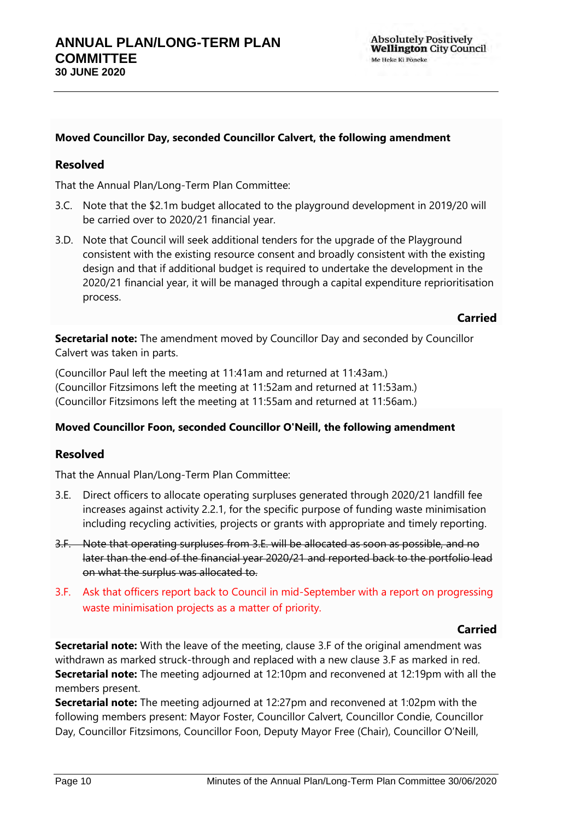## **Moved Councillor Day, seconded Councillor Calvert, the following amendment**

## **Resolved**

That the Annual Plan/Long-Term Plan Committee:

- 3.C. Note that the \$2.1m budget allocated to the playground development in 2019/20 will be carried over to 2020/21 financial year.
- 3.D. Note that Council will seek additional tenders for the upgrade of the Playground consistent with the existing resource consent and broadly consistent with the existing design and that if additional budget is required to undertake the development in the 2020/21 financial year, it will be managed through a capital expenditure reprioritisation process.

#### **Carried**

**Secretarial note:** The amendment moved by Councillor Day and seconded by Councillor Calvert was taken in parts.

(Councillor Paul left the meeting at 11:41am and returned at 11:43am.) (Councillor Fitzsimons left the meeting at 11:52am and returned at 11:53am.) (Councillor Fitzsimons left the meeting at 11:55am and returned at 11:56am.)

#### **Moved Councillor Foon, seconded Councillor O'Neill, the following amendment**

# **Resolved**

That the Annual Plan/Long-Term Plan Committee:

- 3.E. Direct officers to allocate operating surpluses generated through 2020/21 landfill fee increases against activity 2.2.1, for the specific purpose of funding waste minimisation including recycling activities, projects or grants with appropriate and timely reporting.
- 3.F. Note that operating surpluses from 3.E. will be allocated as soon as possible, and no later than the end of the financial year 2020/21 and reported back to the portfolio lead on what the surplus was allocated to.
- 3.F. Ask that officers report back to Council in mid-September with a report on progressing waste minimisation projects as a matter of priority.

#### **Carried**

**Secretarial note:** With the leave of the meeting, clause 3.F of the original amendment was withdrawn as marked struck-through and replaced with a new clause 3.F as marked in red. **Secretarial note:** The meeting adjourned at 12:10pm and reconvened at 12:19pm with all the members present.

**Secretarial note:** The meeting adjourned at 12:27pm and reconvened at 1:02pm with the following members present: Mayor Foster, Councillor Calvert, Councillor Condie, Councillor Day, Councillor Fitzsimons, Councillor Foon, Deputy Mayor Free (Chair), Councillor O'Neill,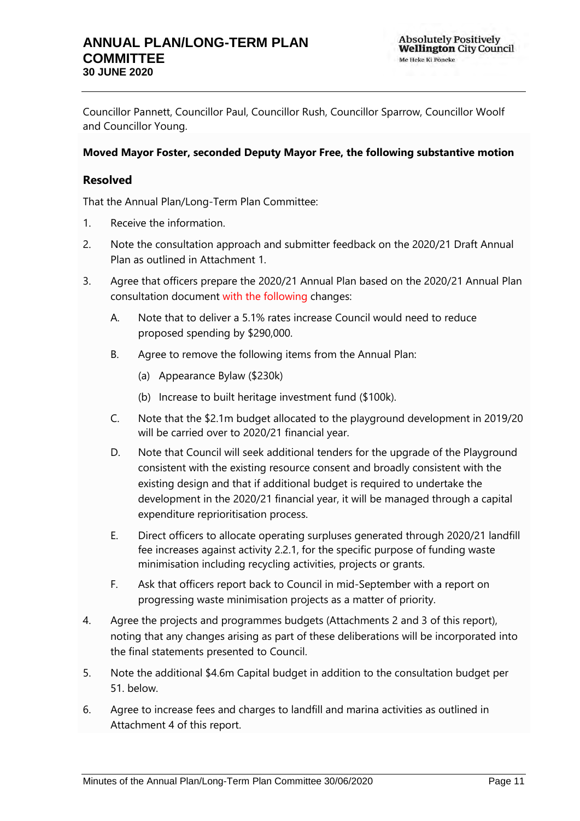# **ANNUAL PLAN/LONG-TERM PLAN COMMITTEE 30 JUNE 2020**

Councillor Pannett, Councillor Paul, Councillor Rush, Councillor Sparrow, Councillor Woolf and Councillor Young.

# **Moved Mayor Foster, seconded Deputy Mayor Free, the following substantive motion**

# **Resolved**

That the Annual Plan/Long-Term Plan Committee:

- 1. Receive the information.
- 2. Note the consultation approach and submitter feedback on the 2020/21 Draft Annual Plan as outlined in Attachment 1.
- 3. Agree that officers prepare the 2020/21 Annual Plan based on the 2020/21 Annual Plan consultation document with the following changes:
	- A. Note that to deliver a 5.1% rates increase Council would need to reduce proposed spending by \$290,000.
	- B. Agree to remove the following items from the Annual Plan:
		- (a) Appearance Bylaw (\$230k)
		- (b) Increase to built heritage investment fund (\$100k).
	- C. Note that the \$2.1m budget allocated to the playground development in 2019/20 will be carried over to 2020/21 financial year.
	- D. Note that Council will seek additional tenders for the upgrade of the Playground consistent with the existing resource consent and broadly consistent with the existing design and that if additional budget is required to undertake the development in the 2020/21 financial year, it will be managed through a capital expenditure reprioritisation process.
	- E. Direct officers to allocate operating surpluses generated through 2020/21 landfill fee increases against activity 2.2.1, for the specific purpose of funding waste minimisation including recycling activities, projects or grants.
	- F. Ask that officers report back to Council in mid-September with a report on progressing waste minimisation projects as a matter of priority.
- 4. Agree the projects and programmes budgets (Attachments 2 and 3 of this report), noting that any changes arising as part of these deliberations will be incorporated into the final statements presented to Council.
- 5. Note the additional \$4.6m Capital budget in addition to the consultation budget per 51. below.
- 6. Agree to increase fees and charges to landfill and marina activities as outlined in Attachment 4 of this report.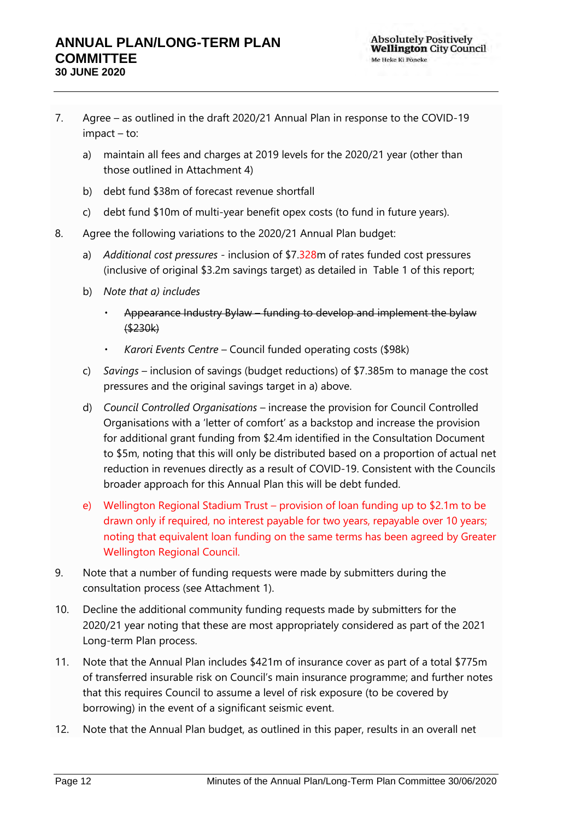- 7. Agree as outlined in the draft 2020/21 Annual Plan in response to the COVID-19 impact – to:
	- a) maintain all fees and charges at 2019 levels for the 2020/21 year (other than those outlined in Attachment 4)
	- b) debt fund \$38m of forecast revenue shortfall
	- c) debt fund \$10m of multi-year benefit opex costs (to fund in future years).
- 8. Agree the following variations to the 2020/21 Annual Plan budget:
	- a) *Additional cost pressures -* inclusion of \$7.328m of rates funded cost pressures (inclusive of original \$3.2m savings target) as detailed in Table 1 of this report;
	- b) *Note that a) includes*
		- Appearance Industry Bylaw funding to develop and implement the bylaw (\$230k)
		- *Karori Events Centre* Council funded operating costs (\$98k)
	- c) *Savings –* inclusion of savings (budget reductions) of \$7.385m to manage the cost pressures and the original savings target in a) above.
	- d) *Council Controlled Organisations* increase the provision for Council Controlled Organisations with a 'letter of comfort' as a backstop and increase the provision for additional grant funding from \$2.4m identified in the Consultation Document to \$5m, noting that this will only be distributed based on a proportion of actual net reduction in revenues directly as a result of COVID-19. Consistent with the Councils broader approach for this Annual Plan this will be debt funded.
	- e) Wellington Regional Stadium Trust provision of loan funding up to \$2.1m to be drawn only if required, no interest payable for two years, repayable over 10 years; noting that equivalent loan funding on the same terms has been agreed by Greater Wellington Regional Council.
- 9. Note that a number of funding requests were made by submitters during the consultation process (see Attachment 1).
- 10. Decline the additional community funding requests made by submitters for the 2020/21 year noting that these are most appropriately considered as part of the 2021 Long-term Plan process.
- 11. Note that the Annual Plan includes \$421m of insurance cover as part of a total \$775m of transferred insurable risk on Council's main insurance programme; and further notes that this requires Council to assume a level of risk exposure (to be covered by borrowing) in the event of a significant seismic event.
- 12. Note that the Annual Plan budget, as outlined in this paper, results in an overall net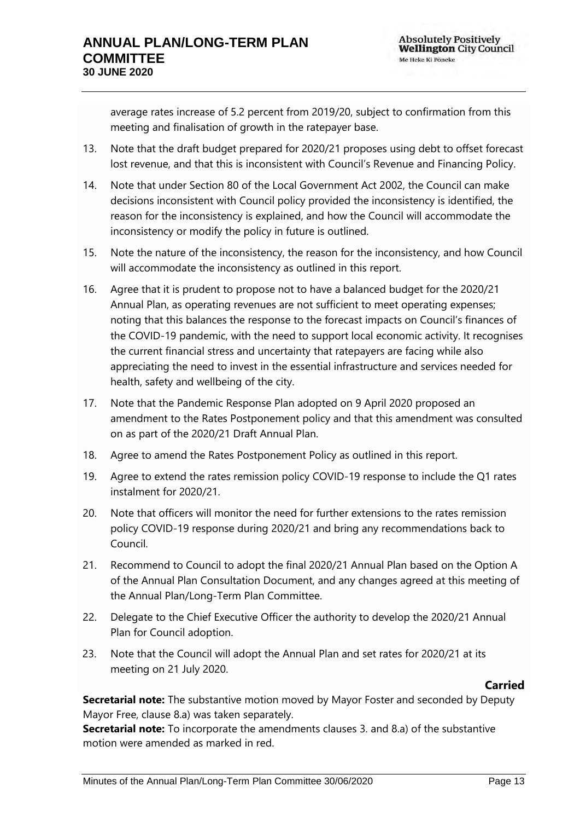average rates increase of 5.2 percent from 2019/20, subject to confirmation from this meeting and finalisation of growth in the ratepayer base.

- 13. Note that the draft budget prepared for 2020/21 proposes using debt to offset forecast lost revenue, and that this is inconsistent with Council's Revenue and Financing Policy.
- 14. Note that under Section 80 of the Local Government Act 2002, the Council can make decisions inconsistent with Council policy provided the inconsistency is identified, the reason for the inconsistency is explained, and how the Council will accommodate the inconsistency or modify the policy in future is outlined.
- 15. Note the nature of the inconsistency, the reason for the inconsistency, and how Council will accommodate the inconsistency as outlined in this report.
- 16. Agree that it is prudent to propose not to have a balanced budget for the 2020/21 Annual Plan, as operating revenues are not sufficient to meet operating expenses; noting that this balances the response to the forecast impacts on Council's finances of the COVID-19 pandemic, with the need to support local economic activity. It recognises the current financial stress and uncertainty that ratepayers are facing while also appreciating the need to invest in the essential infrastructure and services needed for health, safety and wellbeing of the city.
- 17. Note that the Pandemic Response Plan adopted on 9 April 2020 proposed an amendment to the Rates Postponement policy and that this amendment was consulted on as part of the 2020/21 Draft Annual Plan.
- 18. Agree to amend the Rates Postponement Policy as outlined in this report.
- 19. Agree to extend the rates remission policy COVID-19 response to include the Q1 rates instalment for 2020/21.
- 20. Note that officers will monitor the need for further extensions to the rates remission policy COVID-19 response during 2020/21 and bring any recommendations back to Council.
- 21. Recommend to Council to adopt the final 2020/21 Annual Plan based on the Option A of the Annual Plan Consultation Document, and any changes agreed at this meeting of the Annual Plan/Long-Term Plan Committee.
- 22. Delegate to the Chief Executive Officer the authority to develop the 2020/21 Annual Plan for Council adoption.
- 23. Note that the Council will adopt the Annual Plan and set rates for 2020/21 at its meeting on 21 July 2020.

# **Carried**

**Secretarial note:** The substantive motion moved by Mayor Foster and seconded by Deputy Mayor Free, clause 8.a) was taken separately.

**Secretarial note:** To incorporate the amendments clauses 3. and 8.a) of the substantive motion were amended as marked in red.